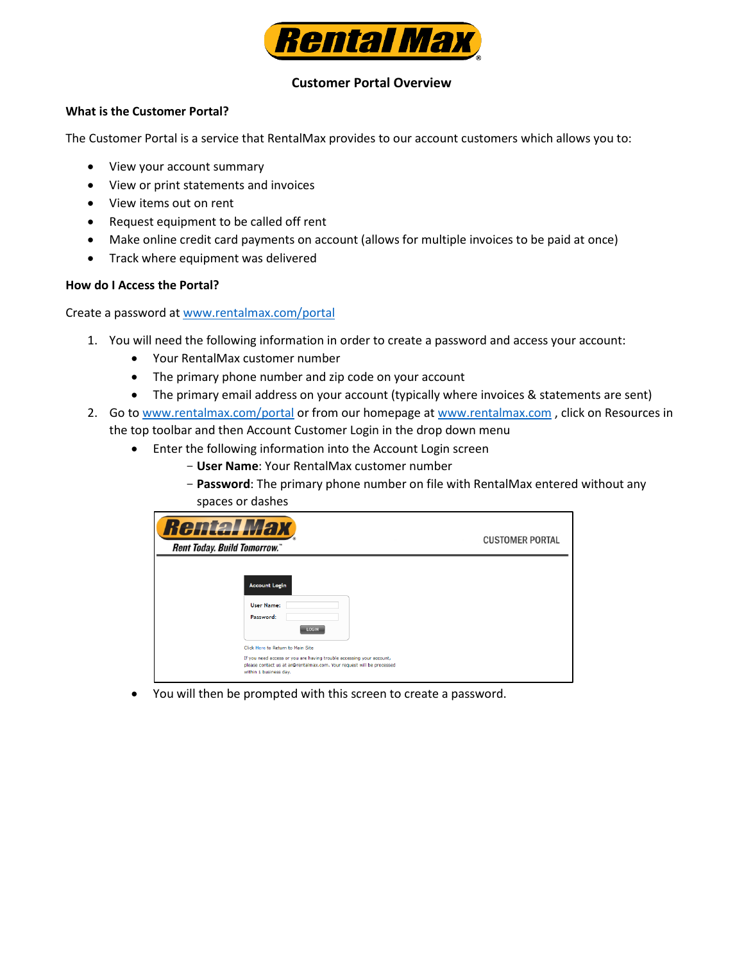

# **Customer Portal Overview**

## **What is the Customer Portal?**

The Customer Portal is a service that RentalMax provides to our account customers which allows you to:

- View your account summary
- View or print statements and invoices
- View items out on rent
- Request equipment to be called off rent
- Make online credit card payments on account (allows for multiple invoices to be paid at once)
- Track where equipment was delivered

### **How do I Access the Portal?**

Create a password at www.rentalmax.com/portal

- 1. You will need the following information in order to create a password and access your account:
	- Your RentalMax customer number
	- The primary phone number and zip code on your account
	- The primary email address on your account (typically where invoices & statements are sent)
- 2. Go to [www.rentalmax.com/portal](http://www.rentalmax.com/portal) or from our homepage at [www.rentalmax.com](http://www.rentalmax.com/), click on Resources in the top toolbar and then Account Customer Login in the drop down menu
	- Enter the following information into the Account Login screen
		- **User Name**: Your RentalMax customer number
		- **Password**: The primary phone number on file with RentalMax entered without any spaces or dashes

| <b>Rental Max</b><br><b>Rent Today. Build Tomorrow.</b> "                                                                                                                                                                                                                       | <b>CUSTOMER PORTAL</b> |
|---------------------------------------------------------------------------------------------------------------------------------------------------------------------------------------------------------------------------------------------------------------------------------|------------------------|
| <b>Account Login</b><br><b>User Name:</b><br>Password:<br>LOGIN<br>Click Here to Return to Main Site<br>If you need access or you are having trouble accessing your account,<br>please contact us at ar@rentalmax.com. Your request will be processed<br>within 1 business day. |                        |

• You will then be prompted with this screen to create a password.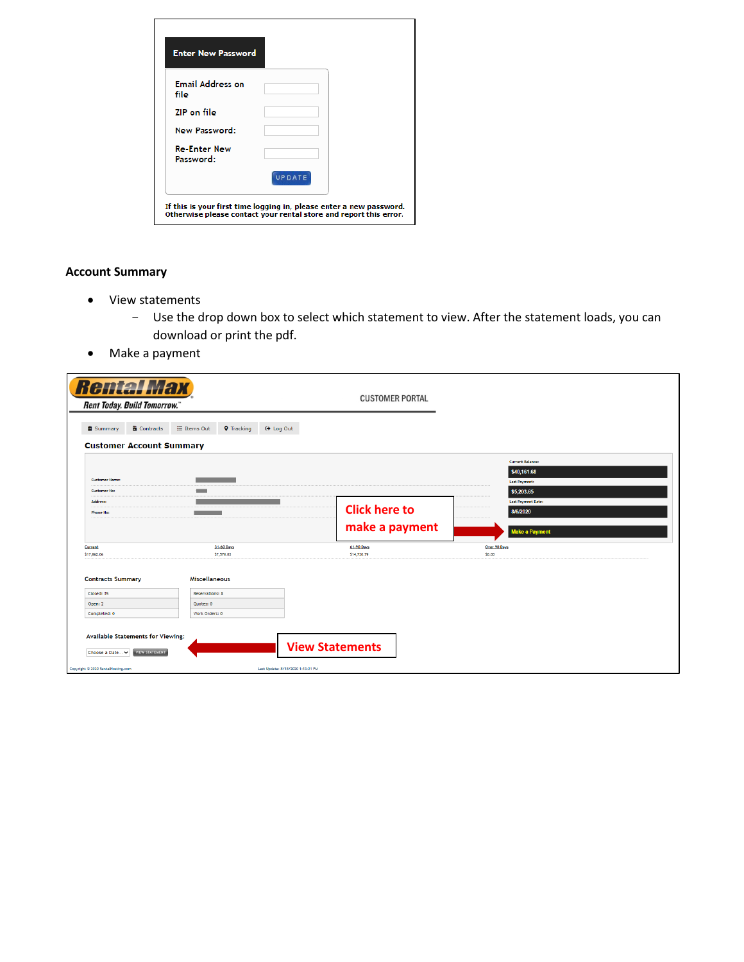| <b>Enter New Password</b>        |        |  |
|----------------------------------|--------|--|
| <b>Email Address on</b><br>file  |        |  |
| <b>ZIP</b> on file               |        |  |
| <b>New Password:</b>             |        |  |
| <b>Re-Enter New</b><br>Password: |        |  |
|                                  | UPDATE |  |

# **Account Summary**

- View statements
	- Use the drop down box to select which statement to view. After the statement loads, you can download or print the pdf.
- Make a payment

| <b>Rental Max</b><br><b>Rent Today. Build Tomorrow.</b>                       |                                                                                                                         | <b>CUSTOMER PORTAL</b>            |                                                                              |
|-------------------------------------------------------------------------------|-------------------------------------------------------------------------------------------------------------------------|-----------------------------------|------------------------------------------------------------------------------|
| <b>B</b> Contracts<br><b>自 Summary</b>                                        | <b>i</b> Items Out<br><b>Q</b> Tracking                                                                                 | <b>■ Log Out</b>                  |                                                                              |
| <b>Customer Account Summary</b>                                               |                                                                                                                         |                                   |                                                                              |
| <b>Customer Name:</b><br><b>Customer No:</b>                                  | - -                                                                                                                     |                                   | <b>Current Balance:</b><br>\$40,161.68<br><b>Last Payment:</b><br>\$5,203.65 |
| Address:<br>Phone No:                                                         | $\mathcal{L}(\mathcal{L})$ and $\mathcal{L}(\mathcal{L})$ and $\mathcal{L}(\mathcal{L})$ and $\mathcal{L}(\mathcal{L})$ | <b>Click here to</b>              | Last Payment Date:<br>8/6/2020                                               |
|                                                                               |                                                                                                                         | make a payment                    | <b>Make a Payment</b>                                                        |
| Current<br>\$17,862.06                                                        | 31-60 Days<br>\$7,578.83                                                                                                | 61-90 Days<br>\$14,720.79         | Over 90 Days<br>\$0.00                                                       |
| <b>Contracts Summary</b>                                                      | <b>Miscellaneous</b>                                                                                                    |                                   |                                                                              |
| Closed: 35                                                                    | Reservations: 8                                                                                                         |                                   |                                                                              |
| Open: 2                                                                       | Quotes: 0                                                                                                               |                                   |                                                                              |
| Completed: 0                                                                  | Work Orders: 0                                                                                                          |                                   |                                                                              |
| Available Statements for Viewing:<br><b>VIEW STATEMENT</b><br>Choose a Date v |                                                                                                                         | <b>View Statements</b>            |                                                                              |
| Copyright @ 2020 RentalHosting.com                                            |                                                                                                                         | Last Update: 8/18/2020 1:13:21 PM |                                                                              |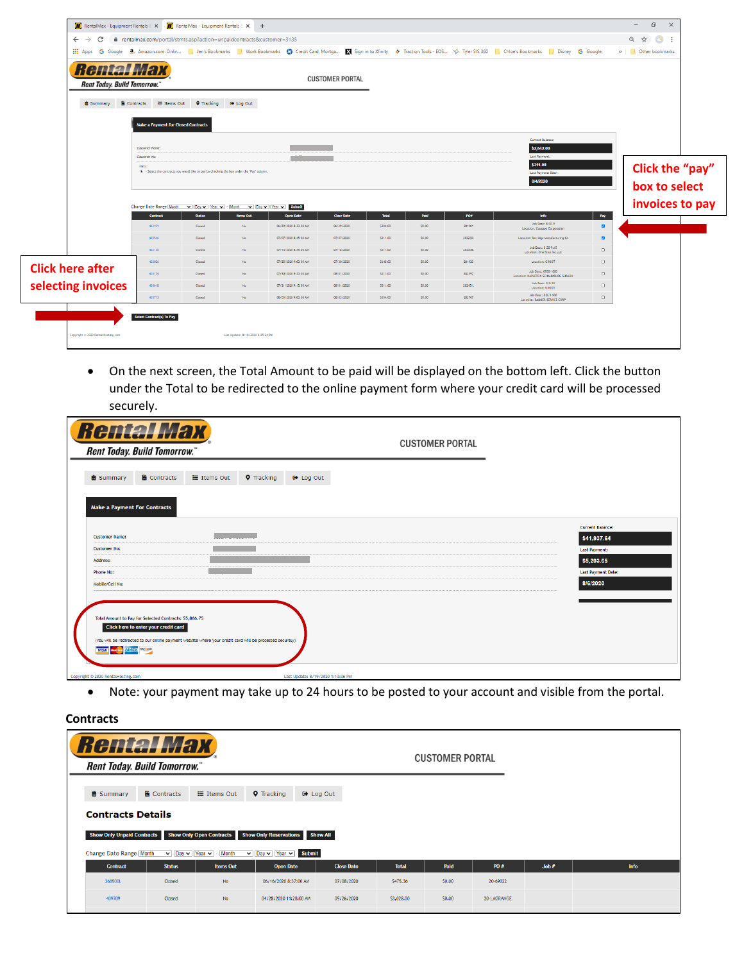| <b>Rental Max</b><br><b>Rent Today. Build Tomorrow.</b> |                                                                                                       |                   |                                                                                            |                       | <b>CUSTOMER PORTAL</b> |              |        |         |                                                                    |                 |                                  |
|---------------------------------------------------------|-------------------------------------------------------------------------------------------------------|-------------------|--------------------------------------------------------------------------------------------|-----------------------|------------------------|--------------|--------|---------|--------------------------------------------------------------------|-----------------|----------------------------------|
| <b>B</b> Summary                                        | <b>B</b> Contracts<br>E Items Out<br><b>Make a Payment for Closed Contracts</b>                       | <b>Q</b> Tracking | C+ Log Out                                                                                 |                       |                        |              |        |         |                                                                    |                 |                                  |
|                                                         | Customer Name:                                                                                        |                   |                                                                                            |                       |                        |              |        |         | Current Balance:<br>\$2,542.00                                     |                 |                                  |
|                                                         | <b>Customer No:</b><br>Hints:                                                                         |                   | > = Select the contracts you would like to pay by checking the box under the "Pay" column. |                       |                        |              |        |         | Last Payment:<br>\$311.00<br><b>Last Payment Date:</b><br>8/4/2020 |                 | Click the "pay"<br>box to select |
|                                                         | Change Date Range [Month v   Day v   Year v   - [Month v   Day v   Year v   Submit<br><b>Contract</b> | <b>Status</b>     | <b>Items Out</b>                                                                           | <b>Open Date</b>      | <b>Close Date</b>      | <b>Total</b> | Paid   | POW     | Info                                                               | Pay             | invoices to pay                  |
|                                                         | 422191                                                                                                | Closed            | No                                                                                         | 06/29/2020 8:30:00 AM | 06/29/2020             | \$304.00     | \$0.00 | 281901  | Job Desc: 8:30-9<br>Location: Casappa Corporation                  | $\blacksquare$  |                                  |
|                                                         | 425546                                                                                                | Closed            | No                                                                                         | 07/07/2020 8:45:00 AM | 07/07/2020             | \$311.00     | \$0.00 | 282230. | Location: Berridge Manufacturing Co                                | $\blacksquare$  |                                  |
|                                                         | 426130                                                                                                | Closed            | Nn                                                                                         | 07/13/2020 8:45:00 AM | 07/18/2020             | \$311,00     | \$0,00 | 282308. | Job Desc: 8:30-9:15<br>Location: One Step Inc LLC                  | $\Box$          |                                  |
|                                                         | 428026                                                                                                | Closed            | No                                                                                         | 07/25/2020 9:00:00 AM | 07/30/2020             | \$640.00     | \$0,00 | 281920  | Location: GROOT                                                    | $\Box$          |                                  |
| <b>Click here after</b>                                 | 430174                                                                                                | Closed            | No                                                                                         | 07/30/2020 9:30:00 AM | 08/01/2020             | \$311.00     | \$0.00 | 282597  | Job Desc: 0930-1000<br>Location: NAPLETON SCHALIMBURG SUBARU       | $\Box$          |                                  |
|                                                         | 430618                                                                                                | Closed            | No                                                                                         | 07/31/2020 9:15:00 AM | 08/01/2020             | \$311.00     | \$0.00 | 282451. | Job Desc: 9-9:30<br>Location: GROOT                                | $\Box$          |                                  |
| selecting invoices                                      |                                                                                                       |                   |                                                                                            | 08/03/2020 9:00:00 AM | 08/03/2020             | \$354.00     | \$0.00 | 282707  | Job Desc: DEL 9-930<br>Location: BANNER SERVICE CORP               | $\hfill\square$ |                                  |

• On the next screen, the Total Amount to be paid will be displayed on the bottom left. Click the button under the Total to be redirected to the online payment form where your credit card will be processed securely.

| <b>Rental Max</b><br>Rent Today. Build Tomorrow."                                                                                                                                                                                                                                                                                      | <b>CUSTOMER PORTAL</b>                                                                                                |  |
|----------------------------------------------------------------------------------------------------------------------------------------------------------------------------------------------------------------------------------------------------------------------------------------------------------------------------------------|-----------------------------------------------------------------------------------------------------------------------|--|
| <b>自 Summary</b><br>Contracts<br>$\equiv$ Items Out<br><b>Q</b> Tracking<br><b>□</b> Log Out<br><b>Make a Payment For Contracts</b>                                                                                                                                                                                                    |                                                                                                                       |  |
| <b>Customer Name:</b><br><b>Customer No:</b><br>Address:<br><b>Phone No:</b><br>Mobile/Cell No:<br>Total Amount to Pay for Selected Contracts: \$5,866.75<br>Click here to enter your credit card<br>(You will be redirected to our online payment website where your credit card will be processed securely)<br><b>VISA AMEX NICE</b> | <b>Current Balance:</b><br>\$41,937.64<br><b>Last Payment:</b><br>\$5,203.65<br><b>Last Payment Date:</b><br>8/6/2020 |  |
| Copyright © 2020 RentalHosting.com<br>Last Update: 8/19/2020 1:13:36 PM                                                                                                                                                                                                                                                                |                                                                                                                       |  |

• Note: your payment may take up to 24 hours to be posted to your account and visible from the portal.

**Contracts**

| <b>Rental Max</b><br><b>Rent Today. Build Tomorrow.</b> "                         |                                                                                  |                                                       |                                                                 |                                     |              | <b>CUSTOMER PORTAL</b> |             |       |             |
|-----------------------------------------------------------------------------------|----------------------------------------------------------------------------------|-------------------------------------------------------|-----------------------------------------------------------------|-------------------------------------|--------------|------------------------|-------------|-------|-------------|
| <b>自 Summary</b><br><b>Contracts Details</b><br><b>Show Only Unpaid Contracts</b> | <b>B</b> Contracts                                                               | $\equiv$ Items Out<br><b>Show Only Open Contracts</b> | <b>Q</b> Tracking<br><b>Show Only Reservations</b>              | <b>■ Log Out</b><br><b>Show All</b> |              |                        |             |       |             |
| Change Date Range Month                                                           | $\overline{\mathbf{v}}$ Day $\overline{\mathbf{v}}$ Year $\overline{\mathbf{v}}$ | - Month                                               | $\triangledown$ Day $\triangledown$ Year $\triangledown$ Submit |                                     |              |                        |             |       |             |
| <b>Contract</b>                                                                   | <b>Status</b>                                                                    | <b>Items Out</b>                                      | <b>Open Date</b>                                                | <b>Close Date</b>                   | <b>Total</b> | Paid                   | PO#         | Job # | <b>Info</b> |
| 368500L                                                                           | Closed                                                                           | <b>No</b>                                             | 06/16/2020 8:37:00 AM                                           | 07/08/2020                          | S475.36      | \$0,00                 | 20-69022    |       |             |
| 409709                                                                            | Closed                                                                           | <b>No</b>                                             | 04/28/2020 11:28:00 AM                                          | 05/26/2020                          | \$3,028,00   | \$0,00                 | 20-LAGRANGE |       |             |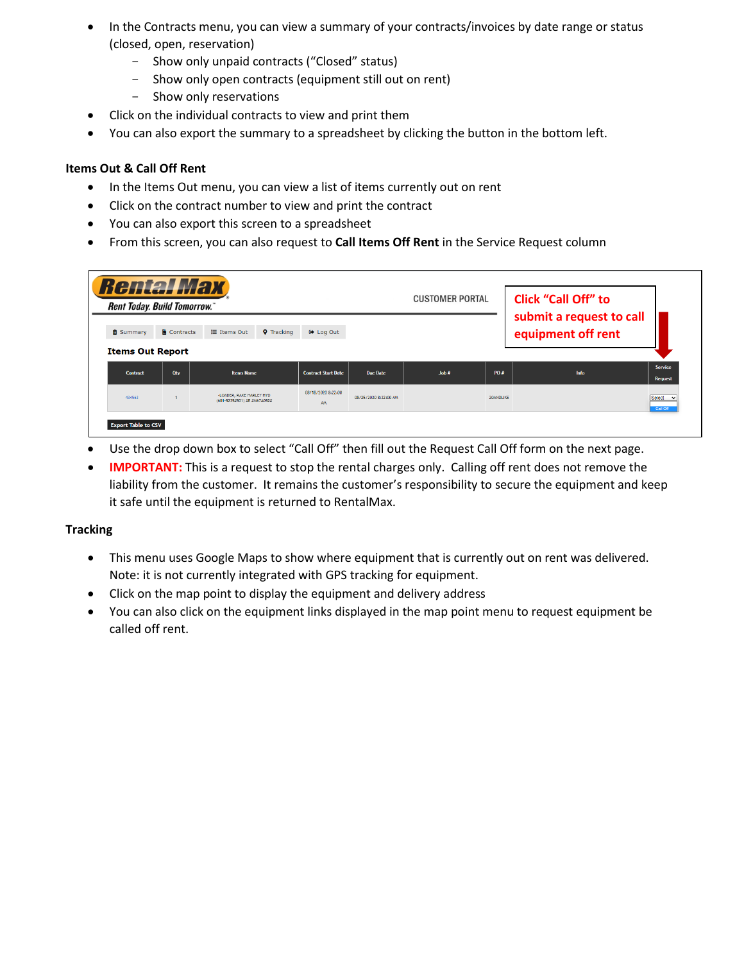- In the Contracts menu, you can view a summary of your contracts/invoices by date range or status (closed, open, reservation)
	- Show only unpaid contracts ("Closed" status)
	- Show only open contracts (equipment still out on rent)
	- Show only reservations
- Click on the individual contracts to view and print them
- You can also export the summary to a spreadsheet by clicking the button in the bottom left.

# **Items Out & Call Off Rent**

- In the Items Out menu, you can view a list of items currently out on rent
- Click on the contract number to view and print the contract
- You can also export this screen to a spreadsheet
- From this screen, you can also request to **Call Items Off Rent** in the Service Request column

|                                             | <b>Rental Max</b><br><b>Rent Today. Build Tomorrow.</b> " |                                                         | <b>CUSTOMER PORTAL</b>          | Click "Call Off" to<br>submit a request to call |      |           |                    |                           |
|---------------------------------------------|-----------------------------------------------------------|---------------------------------------------------------|---------------------------------|-------------------------------------------------|------|-----------|--------------------|---------------------------|
| <b>自 Summary</b><br><b>Items Out Report</b> | <b>B</b> Contracts                                        | $\equiv$ Items Out<br><b>Q</b> Tracking                 | <b>■ Log Out</b>                |                                                 |      |           | equipment off rent |                           |
| <b>Contract</b>                             | Qty                                                       | <b>Items Name</b>                                       | <b>Contract Start Date</b>      | <b>Due Date</b>                                 | Job# | PO#       | Info               | Service<br><b>Request</b> |
| 434563                                      |                                                           | -LOADER, RAKE HARLEY HYD<br>(601-5235#501) #E #M67A052# | 08/18/2020 8:22:00<br><b>AM</b> | 08/25/2020 8:22:00 AM                           |      | 20ANDLIKE |                    | Select<br>Call Off        |

- Use the drop down box to select "Call Off" then fill out the Request Call Off form on the next page.
- **IMPORTANT:** This is a request to stop the rental charges only. Calling off rent does not remove the liability from the customer. It remains the customer's responsibility to secure the equipment and keep it safe until the equipment is returned to RentalMax.

## **Tracking**

- This menu uses Google Maps to show where equipment that is currently out on rent was delivered. Note: it is not currently integrated with GPS tracking for equipment.
- Click on the map point to display the equipment and delivery address
- You can also click on the equipment links displayed in the map point menu to request equipment be called off rent.